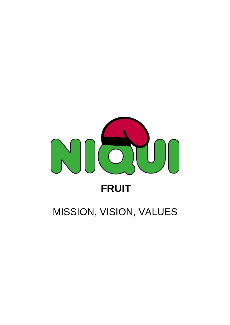

## MISSION, VISION, VALUES